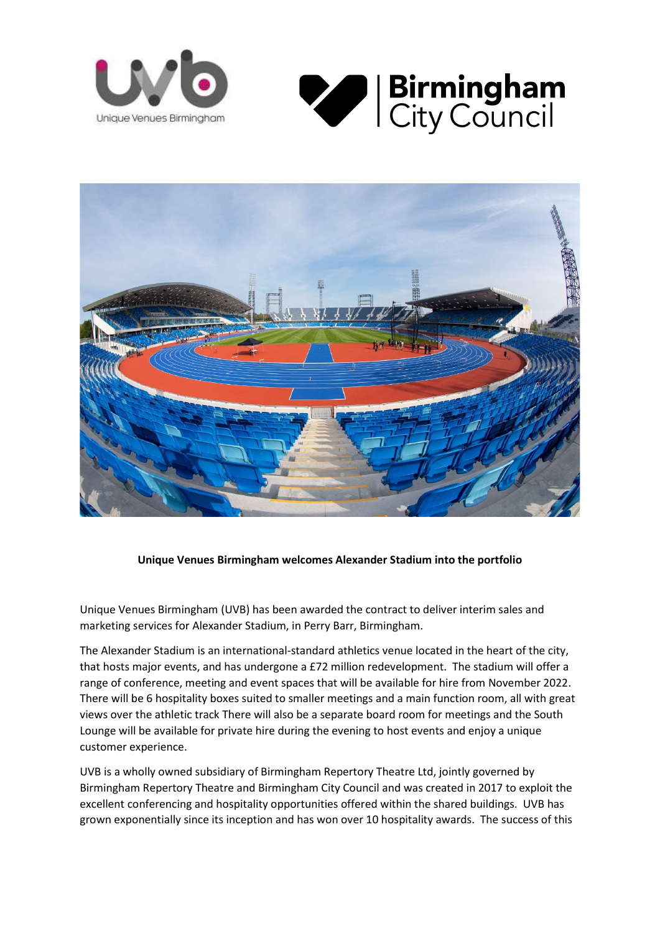





## Unique Venues Birmingham welcomes Alexander Stadium into the portfolio

Unique Venues Birmingham (UVB) has been awarded the contract to deliver interim sales and marketing services for Alexander Stadium, in Perry Barr, Birmingham.

The Alexander Stadium is an international-standard athletics venue located in the heart of the city, that hosts major events, and has undergone a £72 million redevelopment. The stadium will offer a range of conference, meeting and event spaces that will be available for hire from November 2022. There will be 6 hospitality boxes suited to smaller meetings and a main function room, all with great views over the athletic track There will also be a separate board room for meetings and the South Lounge will be available for private hire during the evening to host events and enjoy a unique customer experience.

UVB is a wholly owned subsidiary of Birmingham Repertory Theatre Ltd, jointly governed by Birmingham Repertory Theatre and Birmingham City Council and was created in 2017 to exploit the excellent conferencing and hospitality opportunities offered within the shared buildings. UVB has grown exponentially since its inception and has won over 10 hospitality awards. The success of this